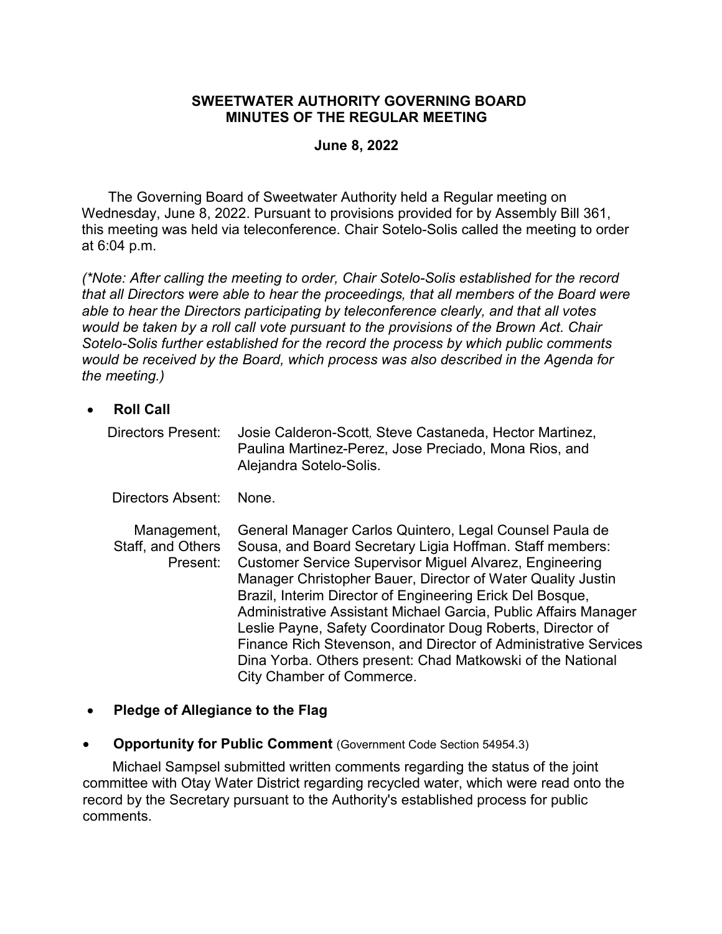#### **SWEETWATER AUTHORITY GOVERNING BOARD MINUTES OF THE REGULAR MEETING**

#### **June 8, 2022**

The Governing Board of Sweetwater Authority held a Regular meeting on Wednesday, June 8, 2022. Pursuant to provisions provided for by Assembly Bill 361, this meeting was held via teleconference. Chair Sotelo-Solis called the meeting to order at 6:04 p.m.

*(\*Note: After calling the meeting to order, Chair Sotelo-Solis established for the record that all Directors were able to hear the proceedings, that all members of the Board were able to hear the Directors participating by teleconference clearly, and that all votes would be taken by a roll call vote pursuant to the provisions of the Brown Act. Chair Sotelo-Solis further established for the record the process by which public comments would be received by the Board, which process was also described in the Agenda for the meeting.)*

- **Roll Call**
	- Directors Present: Josie Calderon-Scott*,* Steve Castaneda, Hector Martinez, Paulina Martinez-Perez, Jose Preciado, Mona Rios, and Alejandra Sotelo-Solis.

Directors Absent: None.

Management, Staff, and Others Present: General Manager Carlos Quintero, Legal Counsel Paula de Sousa, and Board Secretary Ligia Hoffman. Staff members: Customer Service Supervisor Miguel Alvarez, Engineering Manager Christopher Bauer, Director of Water Quality Justin Brazil, Interim Director of Engineering Erick Del Bosque, Administrative Assistant Michael Garcia, Public Affairs Manager Leslie Payne, Safety Coordinator Doug Roberts, Director of Finance Rich Stevenson, and Director of Administrative Services Dina Yorba. Others present: Chad Matkowski of the National City Chamber of Commerce.

#### • **Pledge of Allegiance to the Flag**

**Opportunity for Public Comment** (Government Code Section 54954.3)

Michael Sampsel submitted written comments regarding the status of the joint committee with Otay Water District regarding recycled water, which were read onto the record by the Secretary pursuant to the Authority's established process for public comments.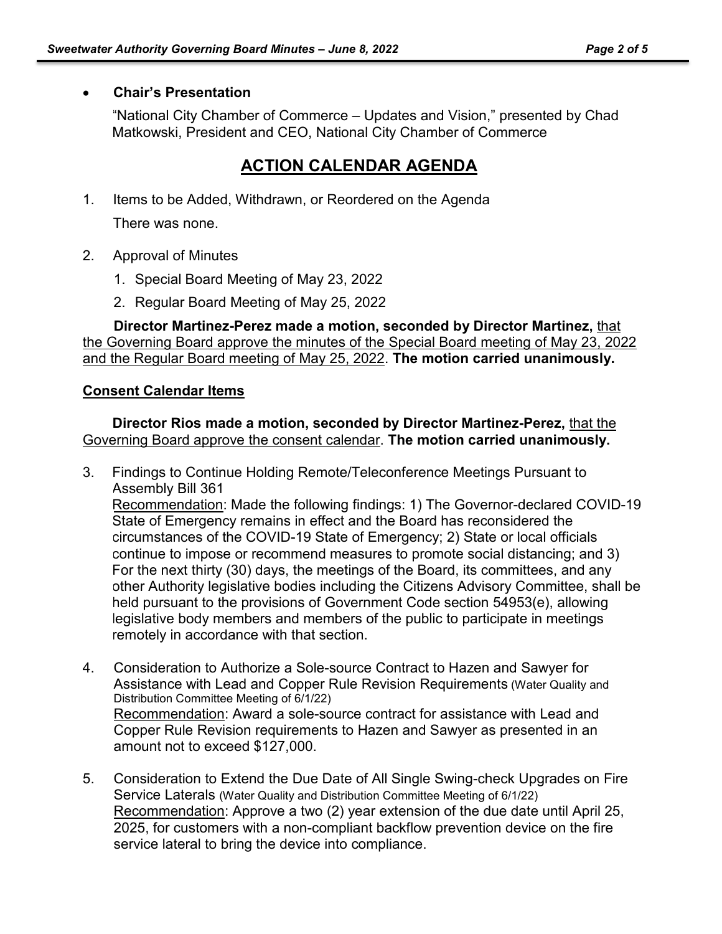### • **Chair's Presentation**

"National City Chamber of Commerce – Updates and Vision," presented by Chad Matkowski, President and CEO, National City Chamber of Commerce

# **ACTION CALENDAR AGENDA**

- 1. Items to be Added, Withdrawn, or Reordered on the Agenda There was none.
- 2. Approval of Minutes
	- 1. Special Board Meeting of May 23, 2022
	- 2. Regular Board Meeting of May 25, 2022

**Director Martinez-Perez made a motion, seconded by Director Martinez,** that the Governing Board approve the minutes of the Special Board meeting of May 23, 2022 and the Regular Board meeting of May 25, 2022. **The motion carried unanimously.**

### **Consent Calendar Items**

**Director Rios made a motion, seconded by Director Martinez-Perez,** that the Governing Board approve the consent calendar. **The motion carried unanimously.**

- 3. Findings to Continue Holding Remote/Teleconference Meetings Pursuant to Assembly Bill 361 Recommendation: Made the following findings: 1) The Governor-declared COVID-19 State of Emergency remains in effect and the Board has reconsidered the circumstances of the COVID-19 State of Emergency; 2) State or local officials continue to impose or recommend measures to promote social distancing; and 3) For the next thirty (30) days, the meetings of the Board, its committees, and any other Authority legislative bodies including the Citizens Advisory Committee, shall be held pursuant to the provisions of Government Code section 54953(e), allowing legislative body members and members of the public to participate in meetings remotely in accordance with that section.
- 4. Consideration to Authorize a Sole-source Contract to Hazen and Sawyer for Assistance with Lead and Copper Rule Revision Requirements (Water Quality and Distribution Committee Meeting of 6/1/22) Recommendation: Award a sole-source contract for assistance with Lead and Copper Rule Revision requirements to Hazen and Sawyer as presented in an amount not to exceed \$127,000.
- 5. Consideration to Extend the Due Date of All Single Swing-check Upgrades on Fire Service Laterals (Water Quality and Distribution Committee Meeting of 6/1/22) Recommendation: Approve a two (2) year extension of the due date until April 25, 2025, for customers with a non-compliant backflow prevention device on the fire service lateral to bring the device into compliance.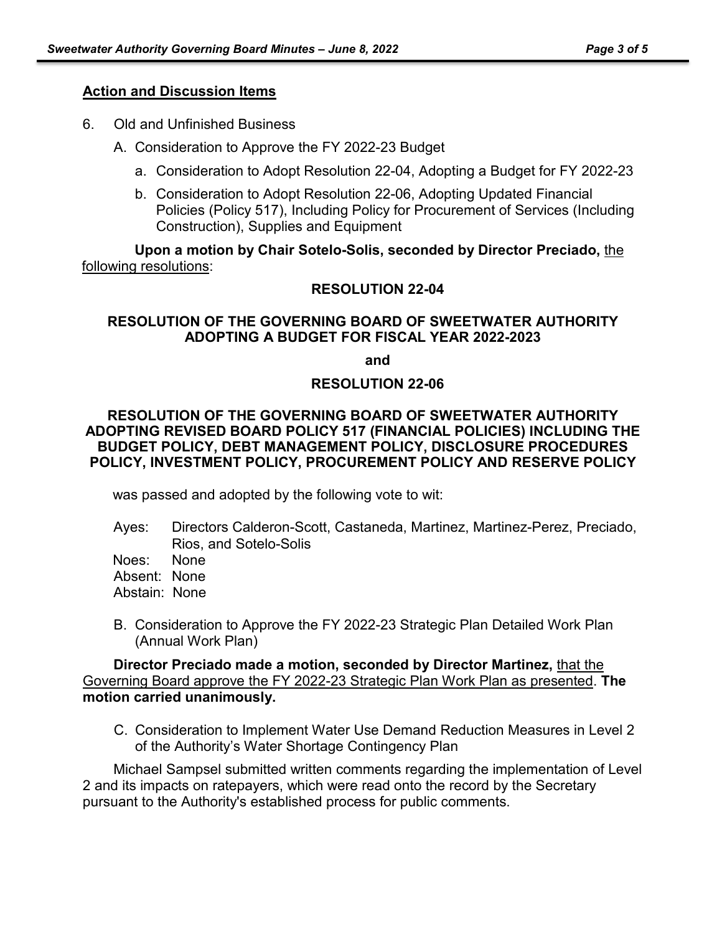#### **Action and Discussion Items**

- 6. Old and Unfinished Business
	- A. Consideration to Approve the FY 2022-23 Budget
		- a. Consideration to Adopt Resolution 22-04, Adopting a Budget for FY 2022-23
		- b. Consideration to Adopt Resolution 22-06, Adopting Updated Financial Policies (Policy 517), Including Policy for Procurement of Services (Including Construction), Supplies and Equipment

**Upon a motion by Chair Sotelo-Solis, seconded by Director Preciado,** the following resolutions:

#### **RESOLUTION 22-04**

#### **RESOLUTION OF THE GOVERNING BOARD OF SWEETWATER AUTHORITY ADOPTING A BUDGET FOR FISCAL YEAR 2022-2023**

**and** 

#### **RESOLUTION 22-06**

#### **RESOLUTION OF THE GOVERNING BOARD OF SWEETWATER AUTHORITY ADOPTING REVISED BOARD POLICY 517 (FINANCIAL POLICIES) INCLUDING THE BUDGET POLICY, DEBT MANAGEMENT POLICY, DISCLOSURE PROCEDURES POLICY, INVESTMENT POLICY, PROCUREMENT POLICY AND RESERVE POLICY**

was passed and adopted by the following vote to wit:

Ayes: Directors Calderon-Scott, Castaneda, Martinez, Martinez-Perez, Preciado, Rios, and Sotelo-Solis

Noes: None

Absent: None

Abstain: None

B. Consideration to Approve the FY 2022-23 Strategic Plan Detailed Work Plan (Annual Work Plan)

**Director Preciado made a motion, seconded by Director Martinez,** that the Governing Board approve the FY 2022-23 Strategic Plan Work Plan as presented. **The motion carried unanimously.**

C. Consideration to Implement Water Use Demand Reduction Measures in Level 2 of the Authority's Water Shortage Contingency Plan

Michael Sampsel submitted written comments regarding the implementation of Level 2 and its impacts on ratepayers, which were read onto the record by the Secretary pursuant to the Authority's established process for public comments.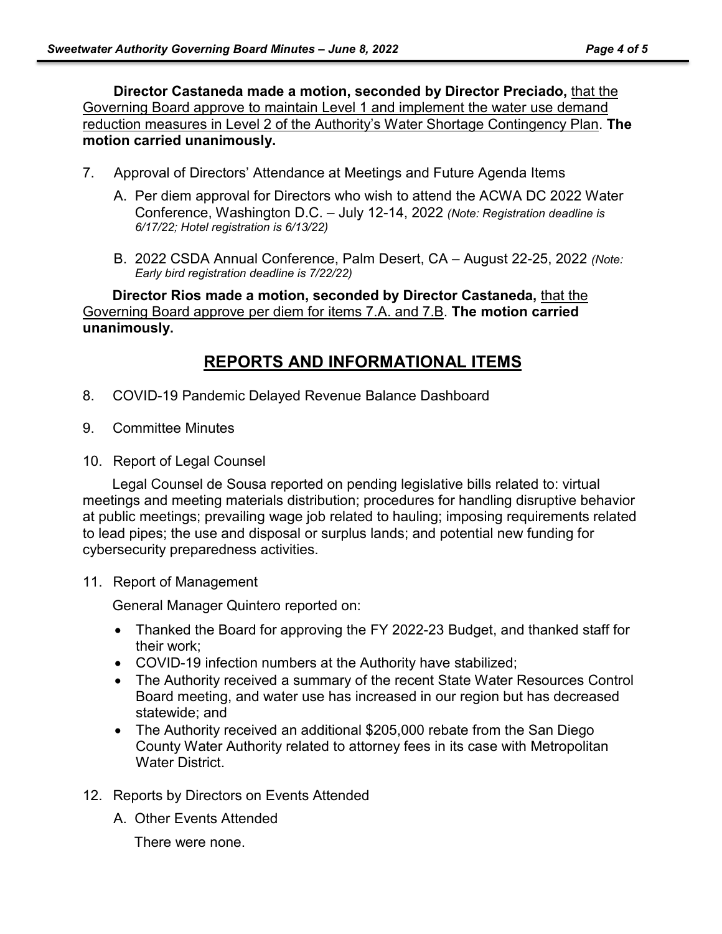**Director Castaneda made a motion, seconded by Director Preciado,** that the Governing Board approve to maintain Level 1 and implement the water use demand reduction measures in Level 2 of the Authority's Water Shortage Contingency Plan. **The motion carried unanimously.**

- 7. Approval of Directors' Attendance at Meetings and Future Agenda Items
	- A. Per diem approval for Directors who wish to attend the ACWA DC 2022 Water Conference, Washington D.C. – July 12-14, 2022 *(Note: Registration deadline is 6/17/22; Hotel registration is 6/13/22)*
	- B. 2022 CSDA Annual Conference, Palm Desert, CA August 22-25, 2022 *(Note: Early bird registration deadline is 7/22/22)*

**Director Rios made a motion, seconded by Director Castaneda,** that the Governing Board approve per diem for items 7.A. and 7.B. **The motion carried unanimously.**

## **REPORTS AND INFORMATIONAL ITEMS**

- 8. COVID-19 Pandemic Delayed Revenue Balance Dashboard
- 9. Committee Minutes
- 10. Report of Legal Counsel

Legal Counsel de Sousa reported on pending legislative bills related to: virtual meetings and meeting materials distribution; procedures for handling disruptive behavior at public meetings; prevailing wage job related to hauling; imposing requirements related to lead pipes; the use and disposal or surplus lands; and potential new funding for cybersecurity preparedness activities.

11. Report of Management

General Manager Quintero reported on:

- Thanked the Board for approving the FY 2022-23 Budget, and thanked staff for their work;
- COVID-19 infection numbers at the Authority have stabilized;
- The Authority received a summary of the recent State Water Resources Control Board meeting, and water use has increased in our region but has decreased statewide; and
- The Authority received an additional \$205,000 rebate from the San Diego County Water Authority related to attorney fees in its case with Metropolitan Water District.
- 12. Reports by Directors on Events Attended
	- A. Other Events Attended

There were none.